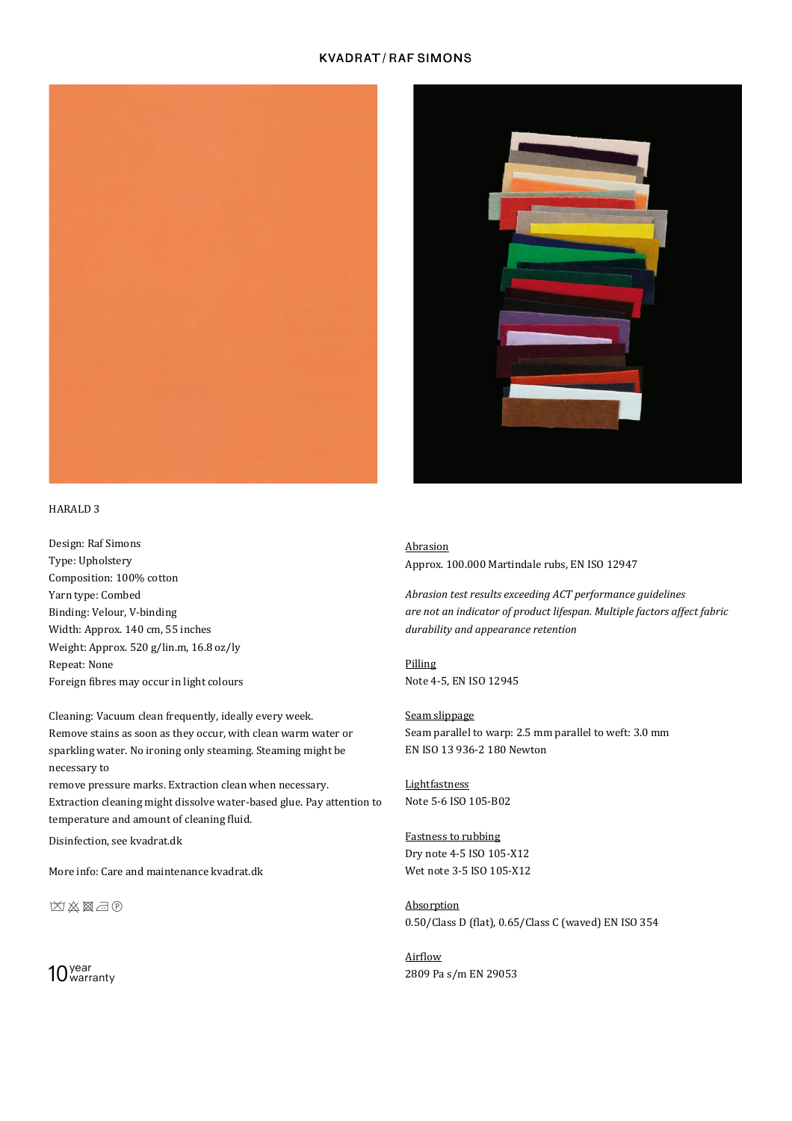## **KVADRAT/RAFSIMONS**





# HARALD 3

Design: Raf Simons Type: Upholstery Composition: 100% cotton Yarn type: Combed Binding: Velour, V-binding Width: Approx. 140 cm, 55 inches Weight: Approx. 520 g/lin.m, 16.8 oz/ly Repeat: None Foreign fibres may occur in light colours

Cleaning: Vacuum clean frequently, ideally every week. Remove stains as soon as they occur, with clean warm water or sparkling water. No ironing only steaming. Steaming might be necessary to

remove pressure marks. Extraction clean when necessary. Extraction cleaning might dissolve water-based glue. Pay attention to temperature and amount of cleaning fluid.

Disinfection, see kvadrat.dk

More info: Care and maintenance kvadrat.dk

区义图司

 $10<sub>warm</sub>$ 

#### Abrasion

Approx. 100.000 Martindale rubs, EN ISO 12947

*Abrasion test results exceeding ACT performance guidelines are not an indicator of product lifespan. Multiple factors affect fabric durability and appearance retention*

Pilling Note 4-5, EN ISO 12945

Seam slippage Seam parallel to warp: 2.5 mm parallel to weft: 3.0 mm EN ISO 13 936-2 180 Newton

Lightfastness Note 5-6 ISO 105-B02

Fastness to rubbing Dry note 4-5 ISO 105-X12 Wet note 3-5 ISO 105-X12

Absorption 0.50/Class D (flat), 0.65/Class C (waved) EN ISO 354

Airflow 2809 Pa s/m EN 29053